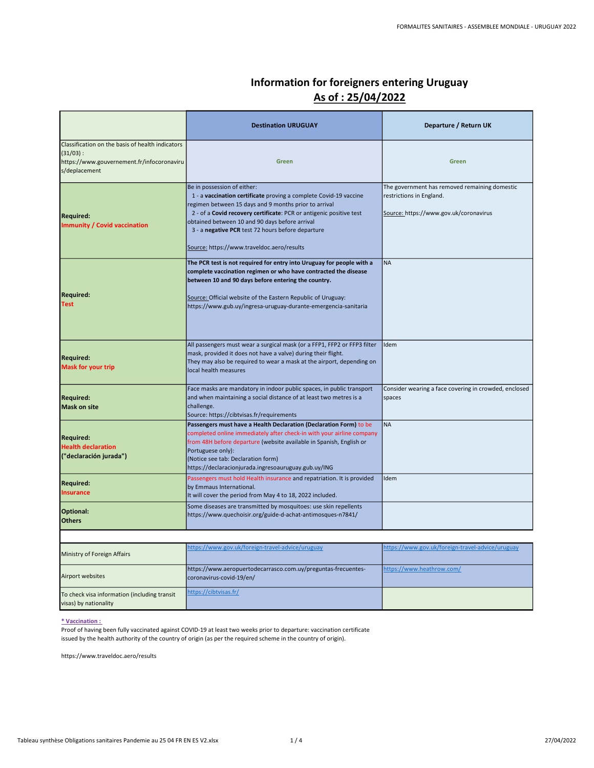| Information for foreigners entering Uruguay |
|---------------------------------------------|
| As of : 25/04/2022                          |

|                                                                                                                                | <b>Destination URUGUAY</b>                                                                                                                                                                                                                                                                                                                                                            | Departure / Return UK                                                                                               |
|--------------------------------------------------------------------------------------------------------------------------------|---------------------------------------------------------------------------------------------------------------------------------------------------------------------------------------------------------------------------------------------------------------------------------------------------------------------------------------------------------------------------------------|---------------------------------------------------------------------------------------------------------------------|
| Classification on the basis of health indicators<br>$(31/03)$ :<br>https://www.gouvernement.fr/infocoronaviru<br>s/deplacement | Green                                                                                                                                                                                                                                                                                                                                                                                 | <b>Green</b>                                                                                                        |
| <b>Required:</b><br><b>Immunity / Covid vaccination</b>                                                                        | Be in possession of either:<br>1 - a vaccination certificate proving a complete Covid-19 vaccine<br>regimen between 15 days and 9 months prior to arrival<br>2 - of a Covid recovery certificate: PCR or antigenic positive test<br>obtained between 10 and 90 days before arrival<br>3 - a negative PCR test 72 hours before departure<br>Source: https://www.traveldoc.aero/results | The government has removed remaining domestic<br>restrictions in England.<br>Source: https://www.gov.uk/coronavirus |
| <b>Required:</b><br><b>Test</b>                                                                                                | The PCR test is not required for entry into Uruguay for people with a<br>complete vaccination regimen or who have contracted the disease<br>between 10 and 90 days before entering the country.<br>Source: Official website of the Eastern Republic of Uruguay:<br>https://www.gub.uy/ingresa-uruguay-durante-emergencia-sanitaria                                                    | <b>NA</b>                                                                                                           |
| <b>Required:</b><br><b>Mask for your trip</b>                                                                                  | All passengers must wear a surgical mask (or a FFP1, FFP2 or FFP3 filter<br>mask, provided it does not have a valve) during their flight.<br>They may also be required to wear a mask at the airport, depending on<br>llocal health measures                                                                                                                                          | Idem                                                                                                                |
| <b>Required:</b><br><b>Mask on site</b>                                                                                        | Face masks are mandatory in indoor public spaces, in public transport<br>and when maintaining a social distance of at least two metres is a<br>challenge.<br>Source: https://cibtvisas.fr/requirements                                                                                                                                                                                | Consider wearing a face covering in crowded, enclosed<br>spaces                                                     |
| <b>Required:</b><br><b>Health declaration</b><br>("declaración jurada")                                                        | Passengers must have a Health Declaration (Declaration Form) to be<br>completed online immediately after check-in with your airline company<br>from 48H before departure (website available in Spanish, English or<br>Portuguese only):<br>(Notice see tab: Declaration form)<br>https://declaracionjurada.ingresoauruguay.gub.uy/ING                                                 | <b>NA</b>                                                                                                           |
| <b>Required:</b><br><b>Insurance</b>                                                                                           | Passengers must hold Health insurance and repatriation. It is provided<br>by Emmaus International.<br>It will cover the period from May 4 to 18, 2022 included.                                                                                                                                                                                                                       | Idem                                                                                                                |
| Optional:<br><b>Others</b>                                                                                                     | Some diseases are transmitted by mosquitoes: use skin repellents<br>https://www.quechoisir.org/guide-d-achat-antimosques-n7841/                                                                                                                                                                                                                                                       |                                                                                                                     |
|                                                                                                                                |                                                                                                                                                                                                                                                                                                                                                                                       |                                                                                                                     |
| Ministry of Foreign Affairs                                                                                                    | https://www.gov.uk/foreign-travel-advice/uruguay                                                                                                                                                                                                                                                                                                                                      | https://www.gov.uk/foreign-travel-advice/uruguay                                                                    |
| Airport websites                                                                                                               | https://www.aeropuertodecarrasco.com.uy/preguntas-frecuentes-<br>coronavirus-covid-19/en/                                                                                                                                                                                                                                                                                             | https://www.heathrow.com/                                                                                           |
| To check visa information (including transit                                                                                   | https://cibtvisas.fr/                                                                                                                                                                                                                                                                                                                                                                 |                                                                                                                     |

\* Vaccination :

visas) by nationality

Proof of having been fully vaccinated against COVID-19 at least two weeks prior to departure: vaccination certificate issued by the health authority of the country of origin (as per the required scheme in the country of origin).

https://www.traveldoc.aero/results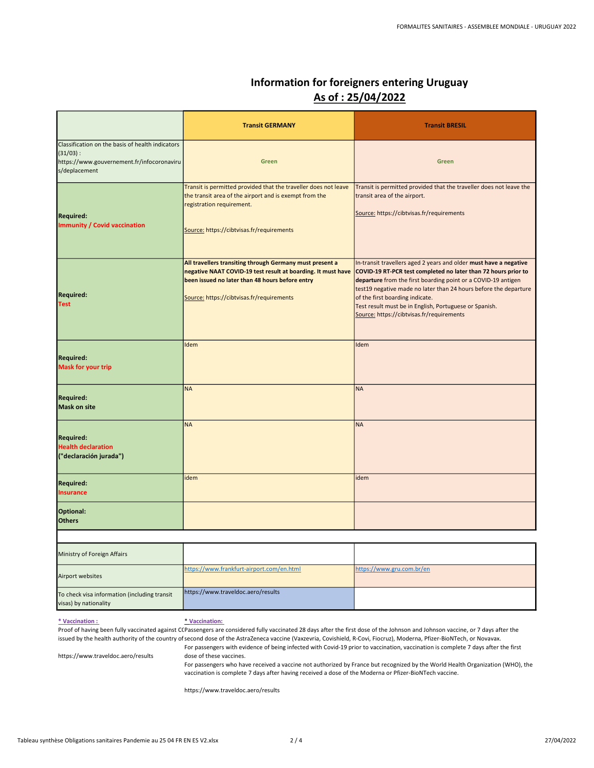# Information for foreigners entering Uruguay As of : 25/04/2022

|                                                                                                                                | <b>Transit GERMANY</b>                                                                                                                                                                                                   | <b>Transit BRESIL</b>                                                                                                                                                                                                                                                                                                                                                                                              |
|--------------------------------------------------------------------------------------------------------------------------------|--------------------------------------------------------------------------------------------------------------------------------------------------------------------------------------------------------------------------|--------------------------------------------------------------------------------------------------------------------------------------------------------------------------------------------------------------------------------------------------------------------------------------------------------------------------------------------------------------------------------------------------------------------|
| Classification on the basis of health indicators<br>$(31/03)$ :<br>https://www.gouvernement.fr/infocoronaviru<br>s/deplacement | Green                                                                                                                                                                                                                    | Green                                                                                                                                                                                                                                                                                                                                                                                                              |
| <b>Required:</b><br><b>Immunity / Covid vaccination</b>                                                                        | Transit is permitted provided that the traveller does not leave<br>the transit area of the airport and is exempt from the<br>registration requirement.<br>Source: https://cibtvisas.fr/requirements                      | Transit is permitted provided that the traveller does not leave the<br>transit area of the airport.<br>Source: https://cibtvisas.fr/requirements                                                                                                                                                                                                                                                                   |
| <b>Required:</b><br><b>Test</b>                                                                                                | All travellers transiting through Germany must present a<br>negative NAAT COVID-19 test result at boarding. It must have<br>been issued no later than 48 hours before entry<br>Source: https://cibtvisas.fr/requirements | In-transit travellers aged 2 years and older must have a negative<br>COVID-19 RT-PCR test completed no later than 72 hours prior to<br>departure from the first boarding point or a COVID-19 antigen<br>test19 negative made no later than 24 hours before the departure<br>of the first boarding indicate.<br>Test result must be in English, Portuguese or Spanish.<br>Source: https://cibtvisas.fr/requirements |
| <b>Required:</b><br><b>Mask for your trip</b>                                                                                  | Idem                                                                                                                                                                                                                     | Idem                                                                                                                                                                                                                                                                                                                                                                                                               |
| <b>Required:</b><br><b>Mask on site</b>                                                                                        | <b>NA</b>                                                                                                                                                                                                                | <b>NA</b>                                                                                                                                                                                                                                                                                                                                                                                                          |
| <b>Required:</b><br><b>Health declaration</b><br>("declaración jurada")                                                        | <b>NA</b>                                                                                                                                                                                                                | <b>NA</b>                                                                                                                                                                                                                                                                                                                                                                                                          |
| <b>Required:</b><br><b>Insurance</b>                                                                                           | idem                                                                                                                                                                                                                     | idem                                                                                                                                                                                                                                                                                                                                                                                                               |
| Optional:<br><b>Others</b>                                                                                                     |                                                                                                                                                                                                                          |                                                                                                                                                                                                                                                                                                                                                                                                                    |
|                                                                                                                                |                                                                                                                                                                                                                          |                                                                                                                                                                                                                                                                                                                                                                                                                    |
| Ministry of Foreign Affairs                                                                                                    | https://www.frankfurt-airport.com/en.html                                                                                                                                                                                | https://www.gru.com.br/en                                                                                                                                                                                                                                                                                                                                                                                          |
| Airport websites                                                                                                               |                                                                                                                                                                                                                          |                                                                                                                                                                                                                                                                                                                                                                                                                    |
| To check visa information (including transit<br>visas) by nationality                                                          | https://www.traveldoc.aero/results                                                                                                                                                                                       |                                                                                                                                                                                                                                                                                                                                                                                                                    |

#### \* Vaccination :

\* Vaccination:

Proof of having been fully vaccinated against CCPassengers are considered fully vaccinated 28 days after the first dose of the Johnson and Johnson vaccine, or 7 days after the issued by the health authority of the country of second dose of the AstraZeneca vaccine (Vaxzevria, Covishield, R-Covi, Fiocruz), Moderna, Pfizer-BioNTech, or Novavax.

https://www.traveldoc.aero/results For passengers with evidence of being infected with Covid-19 prior to vaccination, vaccination is complete 7 days after the first dose of these vaccines.

> For passengers who have received a vaccine not authorized by France but recognized by the World Health Organization (WHO), the vaccination is complete 7 days after having received a dose of the Moderna or Pfizer-BioNTech vaccine.

https://www.traveldoc.aero/results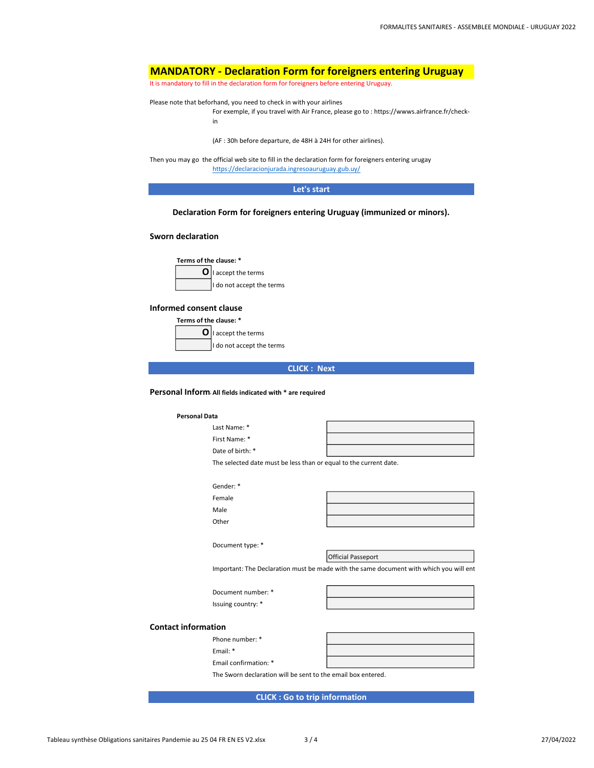# MANDATORY - Declaration Form for foreigners entering Uruguay

It is mandatory to fill in the declaration form for foreigners before entering Uruguay.

Please note that beforhand, you need to check in with your airlines

```
For exemple, if you travel with Air France, please go to : https://wwws.airfrance.fr/check-
in
```
(AF : 30h before departure, de 48H à 24H for other airlines).

https://declaracionjurada.ingresoauruguay.gub.uy/ Then you may go the official web site to fill in the declaration form for foreigners entering urugay

Let's start

## Declaration Form for foreigners entering Uruguay (immunized or minors).

## Sworn declaration

Terms of the clause: \*  $\mathbf{O}$  | accept the terms

I do not accept the terms

## Informed consent clause

Terms of the clause: \*

 $\mathbf{O}$  | accept the terms I do not accept the terms

|  | <b>CLICK : Next</b> |
|--|---------------------|

### Personal Inform All fields indicated with \* are required

#### Personal Data

Last Name: \* First Name: \* Date of birth: \*

The selected date must be less than or equal to the current date.

| Gender: * |  |
|-----------|--|
| Female    |  |
| Male      |  |
| Other     |  |
|           |  |

Official Passeport

Important: The Declaration must be made with the same document with which you will ent

Document number: \* Issuing country: \*

Phone number: \* Email: \*

Email confirmation: \*

Document type: \*

#### Contact information

The Sworn declaration will be sent to the email box entered.

CLICK : Go to trip information